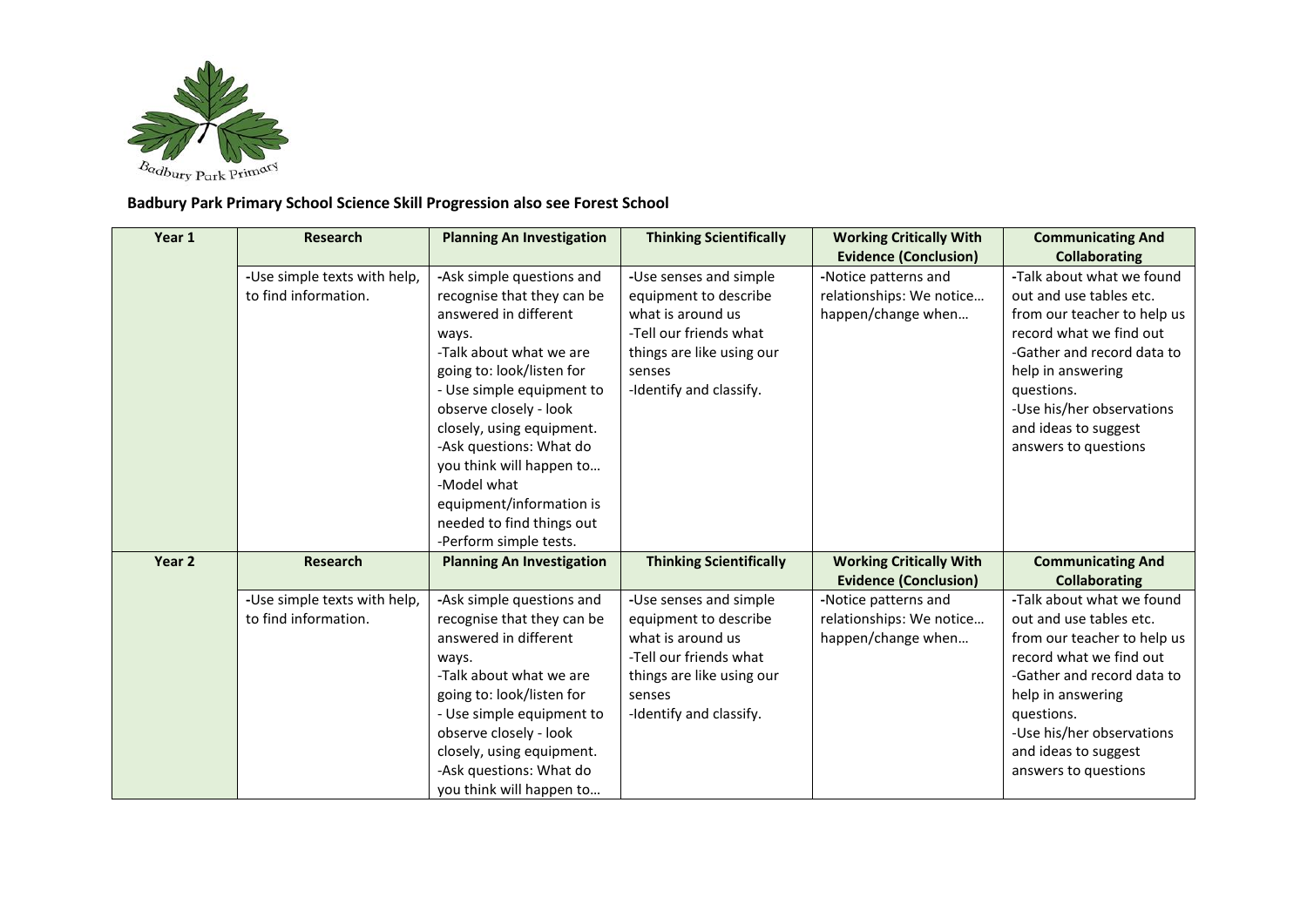

## **Badbury Park Primary School Science Skill Progression also see Forest School**

| <b>Planning An Investigation</b> | <b>Thinking Scientifically</b>                                                                                                                                                                                                                                                                                                                                                                                                                                                                                                                                              | <b>Working Critically With</b>                                                                                                                                                                                                                                                                                                                               | <b>Communicating And</b><br><b>Collaborating</b>                                                                                                                                                                                                   |
|----------------------------------|-----------------------------------------------------------------------------------------------------------------------------------------------------------------------------------------------------------------------------------------------------------------------------------------------------------------------------------------------------------------------------------------------------------------------------------------------------------------------------------------------------------------------------------------------------------------------------|--------------------------------------------------------------------------------------------------------------------------------------------------------------------------------------------------------------------------------------------------------------------------------------------------------------------------------------------------------------|----------------------------------------------------------------------------------------------------------------------------------------------------------------------------------------------------------------------------------------------------|
|                                  |                                                                                                                                                                                                                                                                                                                                                                                                                                                                                                                                                                             |                                                                                                                                                                                                                                                                                                                                                              | -Talk about what we found                                                                                                                                                                                                                          |
|                                  |                                                                                                                                                                                                                                                                                                                                                                                                                                                                                                                                                                             |                                                                                                                                                                                                                                                                                                                                                              | out and use tables etc.                                                                                                                                                                                                                            |
|                                  |                                                                                                                                                                                                                                                                                                                                                                                                                                                                                                                                                                             |                                                                                                                                                                                                                                                                                                                                                              | from our teacher to help us                                                                                                                                                                                                                        |
|                                  |                                                                                                                                                                                                                                                                                                                                                                                                                                                                                                                                                                             |                                                                                                                                                                                                                                                                                                                                                              | record what we find out                                                                                                                                                                                                                            |
|                                  |                                                                                                                                                                                                                                                                                                                                                                                                                                                                                                                                                                             |                                                                                                                                                                                                                                                                                                                                                              | -Gather and record data to                                                                                                                                                                                                                         |
|                                  | senses                                                                                                                                                                                                                                                                                                                                                                                                                                                                                                                                                                      |                                                                                                                                                                                                                                                                                                                                                              | help in answering                                                                                                                                                                                                                                  |
|                                  |                                                                                                                                                                                                                                                                                                                                                                                                                                                                                                                                                                             |                                                                                                                                                                                                                                                                                                                                                              | questions.                                                                                                                                                                                                                                         |
| observe closely - look           |                                                                                                                                                                                                                                                                                                                                                                                                                                                                                                                                                                             |                                                                                                                                                                                                                                                                                                                                                              | -Use his/her observations                                                                                                                                                                                                                          |
| closely, using equipment.        |                                                                                                                                                                                                                                                                                                                                                                                                                                                                                                                                                                             |                                                                                                                                                                                                                                                                                                                                                              | and ideas to suggest                                                                                                                                                                                                                               |
| -Ask questions: What do          |                                                                                                                                                                                                                                                                                                                                                                                                                                                                                                                                                                             |                                                                                                                                                                                                                                                                                                                                                              | answers to questions                                                                                                                                                                                                                               |
| you think will happen to         |                                                                                                                                                                                                                                                                                                                                                                                                                                                                                                                                                                             |                                                                                                                                                                                                                                                                                                                                                              |                                                                                                                                                                                                                                                    |
| -Model what                      |                                                                                                                                                                                                                                                                                                                                                                                                                                                                                                                                                                             |                                                                                                                                                                                                                                                                                                                                                              |                                                                                                                                                                                                                                                    |
| equipment/information is         |                                                                                                                                                                                                                                                                                                                                                                                                                                                                                                                                                                             |                                                                                                                                                                                                                                                                                                                                                              |                                                                                                                                                                                                                                                    |
|                                  |                                                                                                                                                                                                                                                                                                                                                                                                                                                                                                                                                                             |                                                                                                                                                                                                                                                                                                                                                              |                                                                                                                                                                                                                                                    |
| -Perform simple tests.           |                                                                                                                                                                                                                                                                                                                                                                                                                                                                                                                                                                             |                                                                                                                                                                                                                                                                                                                                                              |                                                                                                                                                                                                                                                    |
| <b>Planning An Investigation</b> |                                                                                                                                                                                                                                                                                                                                                                                                                                                                                                                                                                             |                                                                                                                                                                                                                                                                                                                                                              | <b>Communicating And</b>                                                                                                                                                                                                                           |
|                                  |                                                                                                                                                                                                                                                                                                                                                                                                                                                                                                                                                                             |                                                                                                                                                                                                                                                                                                                                                              | <b>Collaborating</b>                                                                                                                                                                                                                               |
|                                  |                                                                                                                                                                                                                                                                                                                                                                                                                                                                                                                                                                             |                                                                                                                                                                                                                                                                                                                                                              | -Talk about what we found                                                                                                                                                                                                                          |
|                                  |                                                                                                                                                                                                                                                                                                                                                                                                                                                                                                                                                                             |                                                                                                                                                                                                                                                                                                                                                              | out and use tables etc.                                                                                                                                                                                                                            |
|                                  |                                                                                                                                                                                                                                                                                                                                                                                                                                                                                                                                                                             |                                                                                                                                                                                                                                                                                                                                                              | from our teacher to help us                                                                                                                                                                                                                        |
|                                  |                                                                                                                                                                                                                                                                                                                                                                                                                                                                                                                                                                             |                                                                                                                                                                                                                                                                                                                                                              | record what we find out                                                                                                                                                                                                                            |
|                                  |                                                                                                                                                                                                                                                                                                                                                                                                                                                                                                                                                                             |                                                                                                                                                                                                                                                                                                                                                              | -Gather and record data to                                                                                                                                                                                                                         |
|                                  |                                                                                                                                                                                                                                                                                                                                                                                                                                                                                                                                                                             |                                                                                                                                                                                                                                                                                                                                                              | help in answering                                                                                                                                                                                                                                  |
|                                  |                                                                                                                                                                                                                                                                                                                                                                                                                                                                                                                                                                             |                                                                                                                                                                                                                                                                                                                                                              | questions.                                                                                                                                                                                                                                         |
|                                  |                                                                                                                                                                                                                                                                                                                                                                                                                                                                                                                                                                             |                                                                                                                                                                                                                                                                                                                                                              | -Use his/her observations                                                                                                                                                                                                                          |
|                                  |                                                                                                                                                                                                                                                                                                                                                                                                                                                                                                                                                                             |                                                                                                                                                                                                                                                                                                                                                              | and ideas to suggest<br>answers to questions                                                                                                                                                                                                       |
|                                  |                                                                                                                                                                                                                                                                                                                                                                                                                                                                                                                                                                             |                                                                                                                                                                                                                                                                                                                                                              |                                                                                                                                                                                                                                                    |
|                                  | -Use simple texts with help,<br>-Ask simple questions and<br>recognise that they can be<br>answered in different<br>ways.<br>-Talk about what we are<br>going to: look/listen for<br>- Use simple equipment to<br>needed to find things out<br>-Use simple texts with help,<br>-Ask simple questions and<br>recognise that they can be<br>answered in different<br>ways.<br>-Talk about what we are<br>going to: look/listen for<br>- Use simple equipment to<br>observe closely - look<br>closely, using equipment.<br>-Ask questions: What do<br>you think will happen to | -Use senses and simple<br>equipment to describe<br>what is around us<br>-Tell our friends what<br>things are like using our<br>-Identify and classify.<br><b>Thinking Scientifically</b><br>-Use senses and simple<br>equipment to describe<br>what is around us<br>-Tell our friends what<br>things are like using our<br>senses<br>-Identify and classify. | <b>Evidence (Conclusion)</b><br>-Notice patterns and<br>relationships: We notice<br>happen/change when<br><b>Working Critically With</b><br><b>Evidence (Conclusion)</b><br>-Notice patterns and<br>relationships: We notice<br>happen/change when |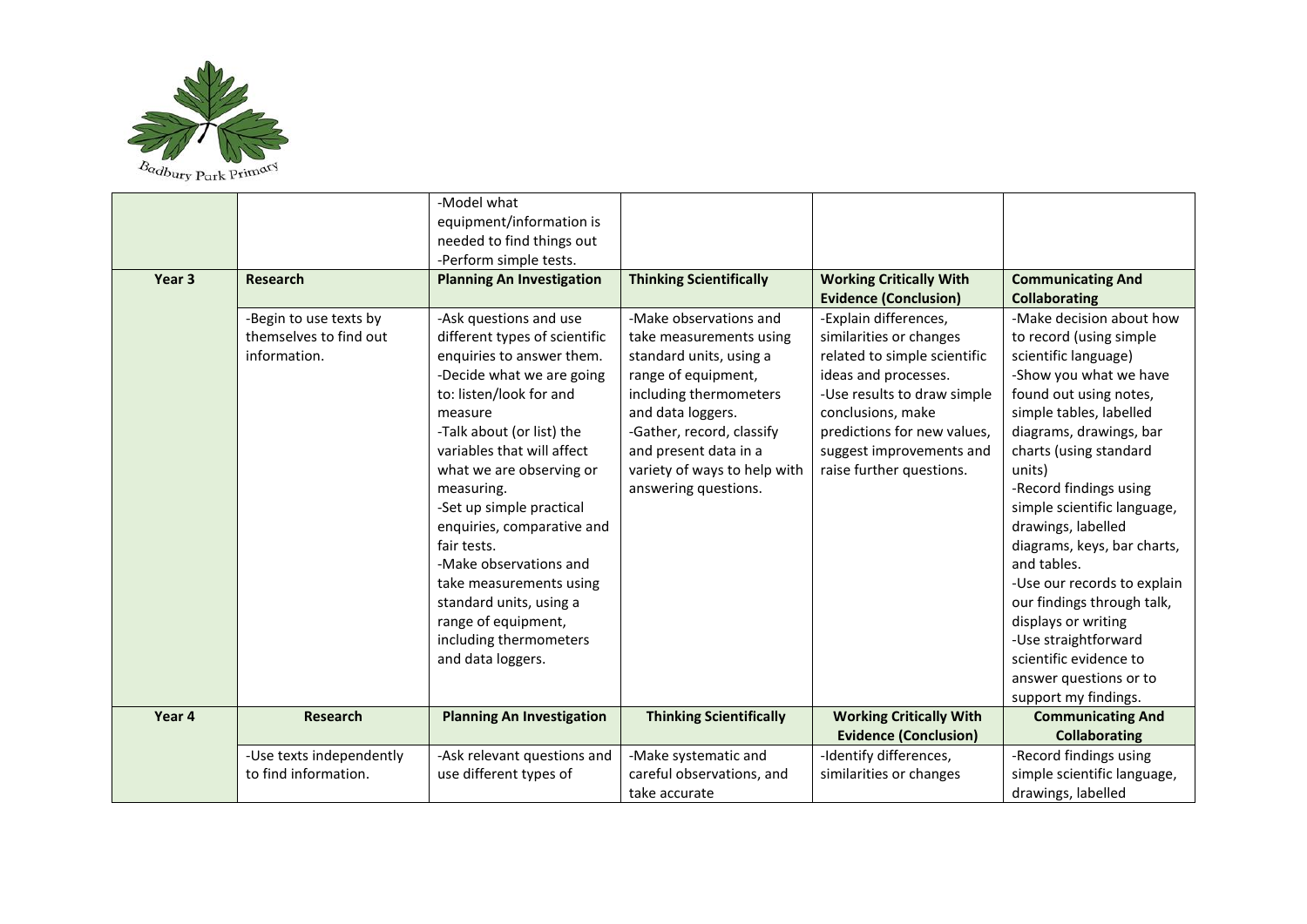

|        |                          | -Model what                      |                                |                                |                             |
|--------|--------------------------|----------------------------------|--------------------------------|--------------------------------|-----------------------------|
|        |                          | equipment/information is         |                                |                                |                             |
|        |                          | needed to find things out        |                                |                                |                             |
|        |                          | -Perform simple tests.           |                                |                                |                             |
| Year 3 | <b>Research</b>          | <b>Planning An Investigation</b> | <b>Thinking Scientifically</b> | <b>Working Critically With</b> | <b>Communicating And</b>    |
|        |                          |                                  |                                | <b>Evidence (Conclusion)</b>   | <b>Collaborating</b>        |
|        | -Begin to use texts by   | -Ask questions and use           | -Make observations and         | -Explain differences,          | -Make decision about how    |
|        | themselves to find out   | different types of scientific    | take measurements using        | similarities or changes        | to record (using simple     |
|        | information.             | enquiries to answer them.        | standard units, using a        | related to simple scientific   | scientific language)        |
|        |                          | -Decide what we are going        | range of equipment,            | ideas and processes.           | -Show you what we have      |
|        |                          | to: listen/look for and          | including thermometers         | -Use results to draw simple    | found out using notes,      |
|        |                          | measure                          | and data loggers.              | conclusions, make              | simple tables, labelled     |
|        |                          | -Talk about (or list) the        | -Gather, record, classify      | predictions for new values,    | diagrams, drawings, bar     |
|        |                          | variables that will affect       | and present data in a          | suggest improvements and       | charts (using standard      |
|        |                          | what we are observing or         | variety of ways to help with   | raise further questions.       | units)                      |
|        |                          | measuring.                       | answering questions.           |                                | -Record findings using      |
|        |                          | -Set up simple practical         |                                |                                | simple scientific language, |
|        |                          | enquiries, comparative and       |                                |                                | drawings, labelled          |
|        |                          | fair tests.                      |                                |                                | diagrams, keys, bar charts, |
|        |                          | -Make observations and           |                                |                                | and tables.                 |
|        |                          | take measurements using          |                                |                                | -Use our records to explain |
|        |                          | standard units, using a          |                                |                                | our findings through talk,  |
|        |                          | range of equipment,              |                                |                                | displays or writing         |
|        |                          | including thermometers           |                                |                                | -Use straightforward        |
|        |                          | and data loggers.                |                                |                                | scientific evidence to      |
|        |                          |                                  |                                |                                | answer questions or to      |
|        |                          |                                  |                                |                                | support my findings.        |
| Year 4 | <b>Research</b>          | <b>Planning An Investigation</b> | <b>Thinking Scientifically</b> | <b>Working Critically With</b> | <b>Communicating And</b>    |
|        |                          |                                  |                                | <b>Evidence (Conclusion)</b>   | <b>Collaborating</b>        |
|        | -Use texts independently | -Ask relevant questions and      | -Make systematic and           | -Identify differences,         | -Record findings using      |
|        | to find information.     | use different types of           | careful observations, and      | similarities or changes        | simple scientific language, |
|        |                          |                                  | take accurate                  |                                | drawings, labelled          |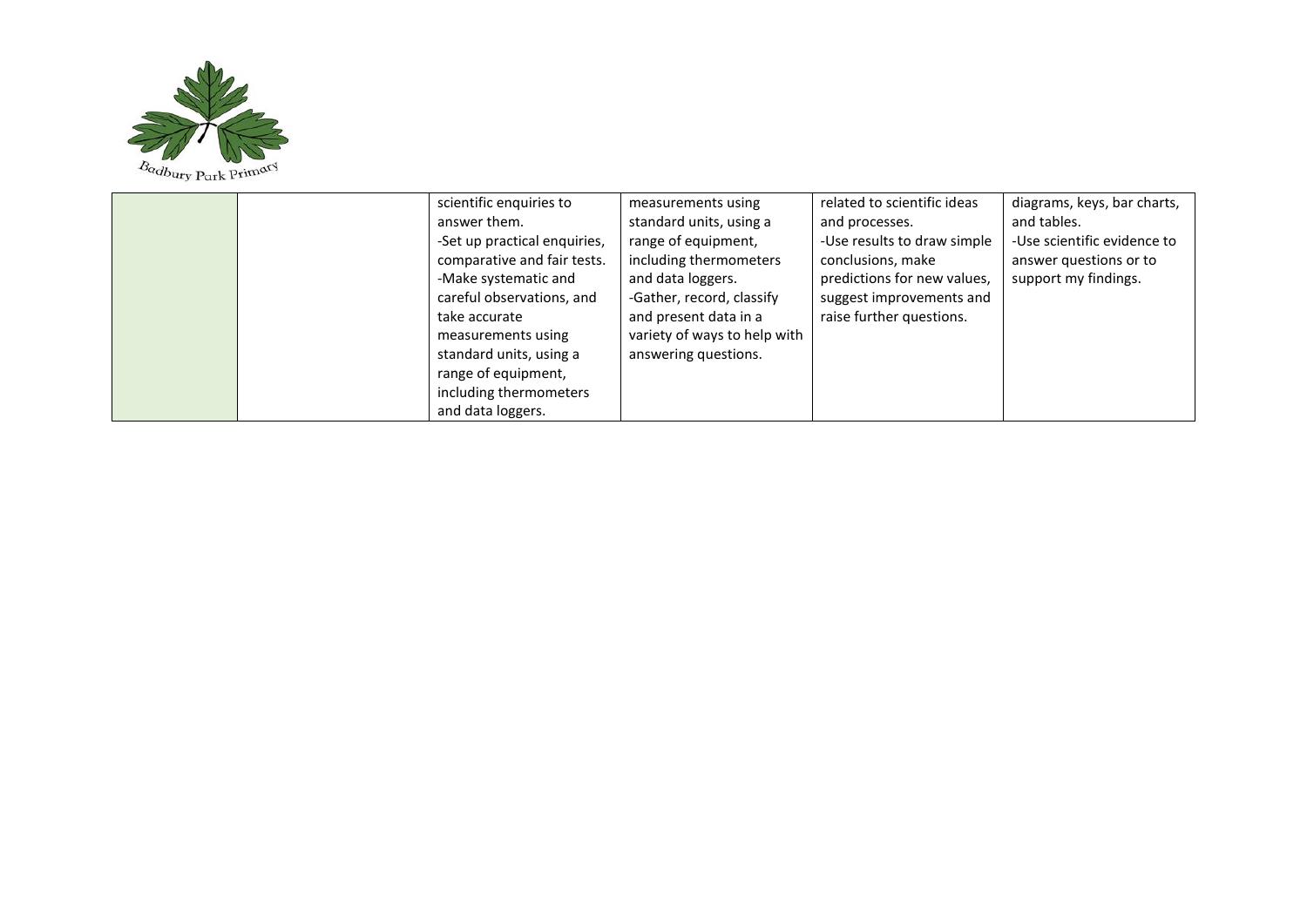

| scientific enquiries to      | measurements using           | related to scientific ideas | diagrams, keys, bar charts, |
|------------------------------|------------------------------|-----------------------------|-----------------------------|
| answer them.                 | standard units, using a      | and processes.              | and tables.                 |
| -Set up practical enquiries, | range of equipment,          | -Use results to draw simple | -Use scientific evidence to |
| comparative and fair tests.  | including thermometers       | conclusions, make           | answer questions or to      |
| -Make systematic and         | and data loggers.            | predictions for new values, | support my findings.        |
| careful observations, and    | -Gather, record, classify    | suggest improvements and    |                             |
| take accurate                | and present data in a        | raise further questions.    |                             |
| measurements using           | variety of ways to help with |                             |                             |
| standard units, using a      | answering questions.         |                             |                             |
| range of equipment,          |                              |                             |                             |
| including thermometers       |                              |                             |                             |
| and data loggers.            |                              |                             |                             |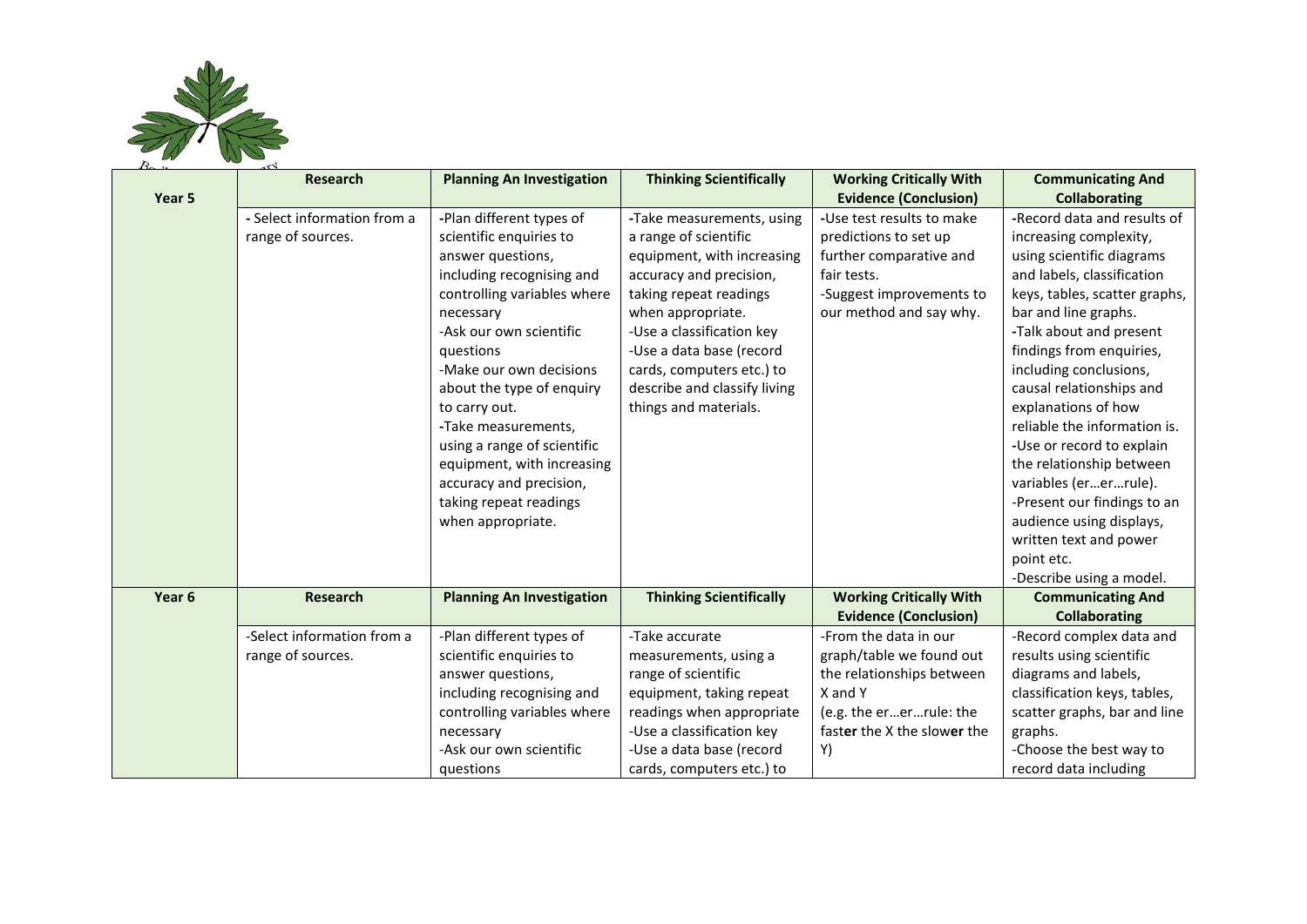

|        | <b>Research</b>                                  | <b>Planning An Investigation</b>                                                                                                                                                                                                                                                                                                                                                                                                 | <b>Thinking Scientifically</b>                                                                                                                                                                                                                                                                            | <b>Working Critically With</b>                                                                                                                      | <b>Communicating And</b>                                                                                                                                                                                                                                                                                                                                                                                                                                                                                             |
|--------|--------------------------------------------------|----------------------------------------------------------------------------------------------------------------------------------------------------------------------------------------------------------------------------------------------------------------------------------------------------------------------------------------------------------------------------------------------------------------------------------|-----------------------------------------------------------------------------------------------------------------------------------------------------------------------------------------------------------------------------------------------------------------------------------------------------------|-----------------------------------------------------------------------------------------------------------------------------------------------------|----------------------------------------------------------------------------------------------------------------------------------------------------------------------------------------------------------------------------------------------------------------------------------------------------------------------------------------------------------------------------------------------------------------------------------------------------------------------------------------------------------------------|
| Year 5 |                                                  |                                                                                                                                                                                                                                                                                                                                                                                                                                  |                                                                                                                                                                                                                                                                                                           | <b>Evidence (Conclusion)</b>                                                                                                                        | <b>Collaborating</b>                                                                                                                                                                                                                                                                                                                                                                                                                                                                                                 |
|        | - Select information from a<br>range of sources. | -Plan different types of<br>scientific enquiries to<br>answer questions,<br>including recognising and<br>controlling variables where<br>necessary<br>-Ask our own scientific<br>questions<br>-Make our own decisions<br>about the type of enquiry<br>to carry out.<br>-Take measurements,<br>using a range of scientific<br>equipment, with increasing<br>accuracy and precision,<br>taking repeat readings<br>when appropriate. | -Take measurements, using<br>a range of scientific<br>equipment, with increasing<br>accuracy and precision,<br>taking repeat readings<br>when appropriate.<br>-Use a classification key<br>-Use a data base (record<br>cards, computers etc.) to<br>describe and classify living<br>things and materials. | -Use test results to make<br>predictions to set up<br>further comparative and<br>fair tests.<br>-Suggest improvements to<br>our method and say why. | -Record data and results of<br>increasing complexity,<br>using scientific diagrams<br>and labels, classification<br>keys, tables, scatter graphs,<br>bar and line graphs.<br>-Talk about and present<br>findings from enquiries,<br>including conclusions,<br>causal relationships and<br>explanations of how<br>reliable the information is.<br>-Use or record to explain<br>the relationship between<br>variables (ererrule).<br>-Present our findings to an<br>audience using displays,<br>written text and power |
|        |                                                  |                                                                                                                                                                                                                                                                                                                                                                                                                                  |                                                                                                                                                                                                                                                                                                           |                                                                                                                                                     | point etc.<br>-Describe using a model.                                                                                                                                                                                                                                                                                                                                                                                                                                                                               |
| Year 6 | <b>Research</b>                                  | <b>Planning An Investigation</b>                                                                                                                                                                                                                                                                                                                                                                                                 | <b>Thinking Scientifically</b>                                                                                                                                                                                                                                                                            | <b>Working Critically With</b>                                                                                                                      | <b>Communicating And</b>                                                                                                                                                                                                                                                                                                                                                                                                                                                                                             |
|        |                                                  |                                                                                                                                                                                                                                                                                                                                                                                                                                  |                                                                                                                                                                                                                                                                                                           | <b>Evidence (Conclusion)</b>                                                                                                                        | <b>Collaborating</b>                                                                                                                                                                                                                                                                                                                                                                                                                                                                                                 |
|        | -Select information from a                       | -Plan different types of                                                                                                                                                                                                                                                                                                                                                                                                         | -Take accurate                                                                                                                                                                                                                                                                                            | -From the data in our                                                                                                                               | -Record complex data and                                                                                                                                                                                                                                                                                                                                                                                                                                                                                             |
|        | range of sources.                                | scientific enquiries to                                                                                                                                                                                                                                                                                                                                                                                                          | measurements, using a                                                                                                                                                                                                                                                                                     | graph/table we found out                                                                                                                            | results using scientific                                                                                                                                                                                                                                                                                                                                                                                                                                                                                             |
|        |                                                  | answer questions,                                                                                                                                                                                                                                                                                                                                                                                                                | range of scientific                                                                                                                                                                                                                                                                                       | the relationships between                                                                                                                           | diagrams and labels,                                                                                                                                                                                                                                                                                                                                                                                                                                                                                                 |
|        |                                                  | including recognising and                                                                                                                                                                                                                                                                                                                                                                                                        | equipment, taking repeat                                                                                                                                                                                                                                                                                  | X and Y                                                                                                                                             | classification keys, tables,                                                                                                                                                                                                                                                                                                                                                                                                                                                                                         |
|        |                                                  | controlling variables where                                                                                                                                                                                                                                                                                                                                                                                                      | readings when appropriate                                                                                                                                                                                                                                                                                 | (e.g. the ererrule: the                                                                                                                             | scatter graphs, bar and line                                                                                                                                                                                                                                                                                                                                                                                                                                                                                         |
|        |                                                  | necessary                                                                                                                                                                                                                                                                                                                                                                                                                        | -Use a classification key                                                                                                                                                                                                                                                                                 | faster the X the slower the                                                                                                                         | graphs.                                                                                                                                                                                                                                                                                                                                                                                                                                                                                                              |
|        |                                                  | -Ask our own scientific                                                                                                                                                                                                                                                                                                                                                                                                          | -Use a data base (record                                                                                                                                                                                                                                                                                  | Y)                                                                                                                                                  | -Choose the best way to                                                                                                                                                                                                                                                                                                                                                                                                                                                                                              |
|        |                                                  | questions                                                                                                                                                                                                                                                                                                                                                                                                                        | cards, computers etc.) to                                                                                                                                                                                                                                                                                 |                                                                                                                                                     | record data including                                                                                                                                                                                                                                                                                                                                                                                                                                                                                                |